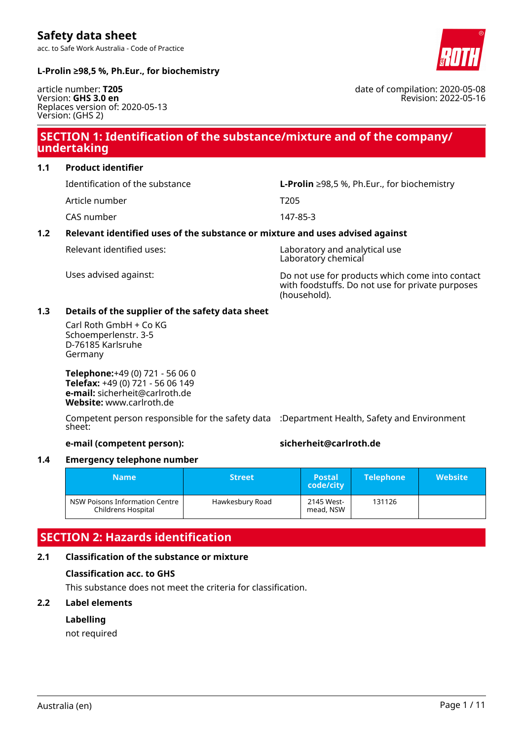acc. to Safe Work Australia - Code of Practice

### **L-Prolin ≥98,5 %, Ph.Eur., for biochemistry**

article number: **T205** Version: **GHS 3.0 en** Replaces version of: 2020-05-13 Version: (GHS 2)

# **SECTION 1: Identification of the substance/mixture and of the company/ undertaking**

#### **1.1 Product identifier**

Article number T205

CAS number 147-85-3

# Identification of the substance **L-Prolin** ≥98,5 %, Ph.Eur., for biochemistry

### **1.2 Relevant identified uses of the substance or mixture and uses advised against**

Relevant identified uses: Laboratory and analytical use Laboratory chemical

Uses advised against: Do not use for products which come into contact with foodstuffs. Do not use for private purposes (household).

### **1.3 Details of the supplier of the safety data sheet**

Carl Roth GmbH + Co KG Schoemperlenstr. 3-5 D-76185 Karlsruhe Germany

**Telephone:**+49 (0) 721 - 56 06 0 **Telefax:** +49 (0) 721 - 56 06 149 **e-mail:** sicherheit@carlroth.de **Website:** www.carlroth.de

Competent person responsible for the safety data :Department Health, Safety and Environment sheet:

#### **e-mail (competent person): sicherheit@carlroth.de**

### **1.4 Emergency telephone number**

| <b>Name</b>                                            | <b>Street</b>   | <b>Postal</b><br>code/city | <b>Telephone</b> | Website <b>\</b> |
|--------------------------------------------------------|-----------------|----------------------------|------------------|------------------|
| NSW Poisons Information Centre  <br>Childrens Hospital | Hawkesbury Road | 2145 West-<br>mead, NSW    | 131126           |                  |

# **SECTION 2: Hazards**

#### **2.1 Classification of the**

#### **Classification acc. to**

This substance does not meet the criteria for classification.

### **2.2 Label elements**

#### **Labelling**

not required

| $:$ identification     |  |
|------------------------|--|
| e substance or mixture |  |
| o GHS                  |  |



date of compilation: 2020-05-08 Revision: 2022-05-16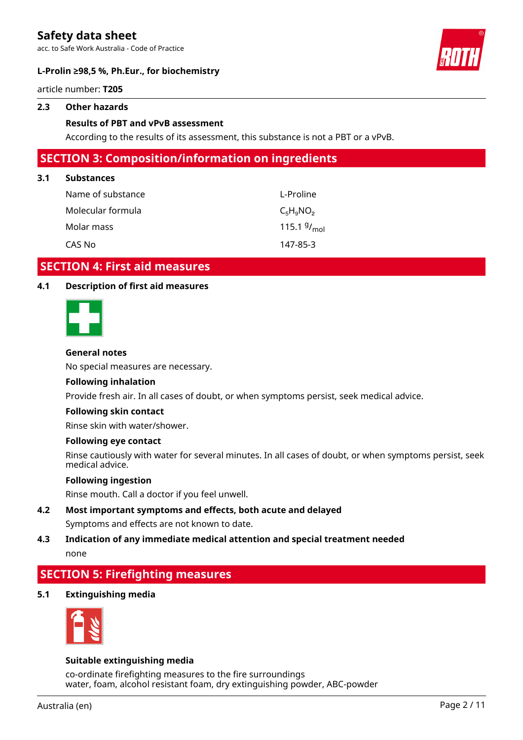acc. to Safe Work Australia - Code of Practice



#### **L-Prolin ≥98,5 %, Ph.Eur., for biochemistry**

article number: **T205**

#### **2.3 Other hazards**

#### **Results of PBT and vPvB assessment**

According to the results of its assessment, this substance is not a PBT or a vPvB.

### **SECTION 3: Composition/information on ingredients**

#### **3.1 Substances**

| Name of substance | L-Proline               |
|-------------------|-------------------------|
| Molecular formula | $C_5H_9NO_2$            |
| Molar mass        | 115.1 $9/_{\text{mol}}$ |
| CAS No            | 147-85-3                |

### **SECTION 4: First aid measures**

#### **4.1 Description of first aid measures**



#### **General notes**

No special measures are necessary.

#### **Following inhalation**

Provide fresh air. In all cases of doubt, or when symptoms persist, seek medical advice.

#### **Following skin contact**

Rinse skin with water/shower.

#### **Following eye contact**

Rinse cautiously with water for several minutes. In all cases of doubt, or when symptoms persist, seek medical advice.

#### **Following ingestion**

Rinse mouth. Call a doctor if you feel unwell.

- **4.2 Most important symptoms and effects, both acute and delayed** Symptoms and effects are not known to date.
- **4.3 Indication of any immediate medical attention and special treatment needed** none

# **SECTION 5: Firefighting measures**

**5.1 Extinguishing media**



#### **Suitable extinguishing media**

co-ordinate firefighting measures to the fire surroundings water, foam, alcohol resistant foam, dry extinguishing powder, ABC-powder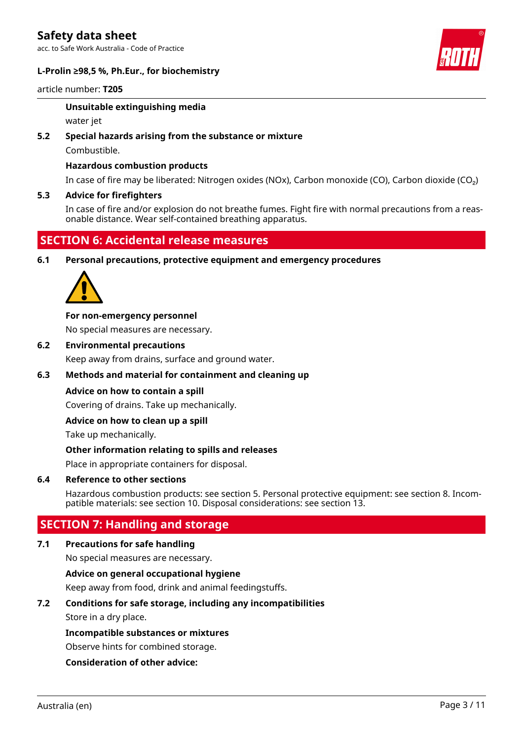acc. to Safe Work Australia - Code of Practice





#### article number: **T205**

#### **Unsuitable extinguishing media**

water jet

#### **5.2 Special hazards arising from the substance or mixture**

Combustible.

#### **Hazardous combustion products**

In case of fire may be liberated: Nitrogen oxides (NOx), Carbon monoxide (CO), Carbon dioxide (CO₂)

#### **5.3 Advice for firefighters**

In case of fire and/or explosion do not breathe fumes. Fight fire with normal precautions from a reasonable distance. Wear self-contained breathing apparatus.

# **SECTION 6: Accidental release measures**

**6.1 Personal precautions, protective equipment and emergency procedures**



#### **For non-emergency personnel**

No special measures are necessary.

**6.2 Environmental precautions**

Keep away from drains, surface and ground water.

#### **6.3 Methods and material for containment and cleaning up**

#### **Advice on how to contain a spill**

Covering of drains. Take up mechanically.

#### **Advice on how to clean up a spill**

Take up mechanically.

#### **Other information relating to spills and releases**

Place in appropriate containers for disposal.

#### **6.4 Reference to other sections**

Hazardous combustion products: see section 5. Personal protective equipment: see section 8. Incompatible materials: see section 10. Disposal considerations: see section 13.

# **SECTION 7: Handling and storage**

#### **7.1 Precautions for safe handling**

No special measures are necessary.

#### **Advice on general occupational hygiene**

Keep away from food, drink and animal feedingstuffs.

#### **7.2 Conditions for safe storage, including any incompatibilities**

Store in a dry place.

#### **Incompatible substances or mixtures**

Observe hints for combined storage.

#### **Consideration of other advice:**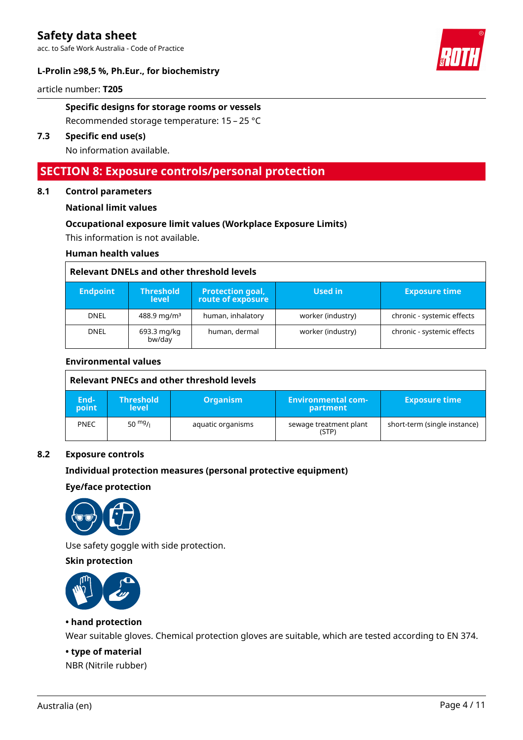acc. to Safe Work Australia - Code of Practice



#### **L-Prolin ≥98,5 %, Ph.Eur., for biochemistry**

article number: **T205**

#### **Specific designs for storage rooms or vessels**

Recommended storage temperature: 15 – 25 °C

#### **7.3 Specific end use(s)**

No information available.

### **SECTION 8: Exposure controls/personal protection**

#### **8.1 Control parameters**

#### **National limit values**

#### **Occupational exposure limit values (Workplace Exposure Limits)**

This information is not available.

#### **Human health values**

#### **Relevant DNELs and other threshold levels**

| <b>Endpoint</b> | <b>Threshold</b><br><b>level</b> | <b>Protection goal,</b><br>route of exposure | Used in           | <b>Exposure time</b>       |
|-----------------|----------------------------------|----------------------------------------------|-------------------|----------------------------|
| <b>DNEL</b>     | 488.9 mg/m <sup>3</sup>          | human, inhalatory                            | worker (industry) | chronic - systemic effects |
| <b>DNEL</b>     | 693.3 mg/kg<br>bw/day            | human, dermal                                | worker (industry) | chronic - systemic effects |

#### **Environmental values**

|               | Relevant PNECs and other threshold levels |                   |                                 |                              |  |
|---------------|-------------------------------------------|-------------------|---------------------------------|------------------------------|--|
| End-<br>point | <b>Threshold</b><br><b>level</b>          | <b>Organism</b>   | 'Environmental com-<br>partment | <b>Exposure time</b>         |  |
| <b>PNEC</b>   | $50 \frac{mg}{l}$                         | aquatic organisms | sewage treatment plant<br>(STP) | short-term (single instance) |  |

#### **8.2 Exposure controls**

#### **Individual protection measures (personal protective equipment)**

#### **Eye/face protection**



Use safety goggle with side protection.

#### **Skin protection**



#### **• hand protection**

Wear suitable gloves. Chemical protection gloves are suitable, which are tested according to EN 374.

#### **• type of material**

NBR (Nitrile rubber)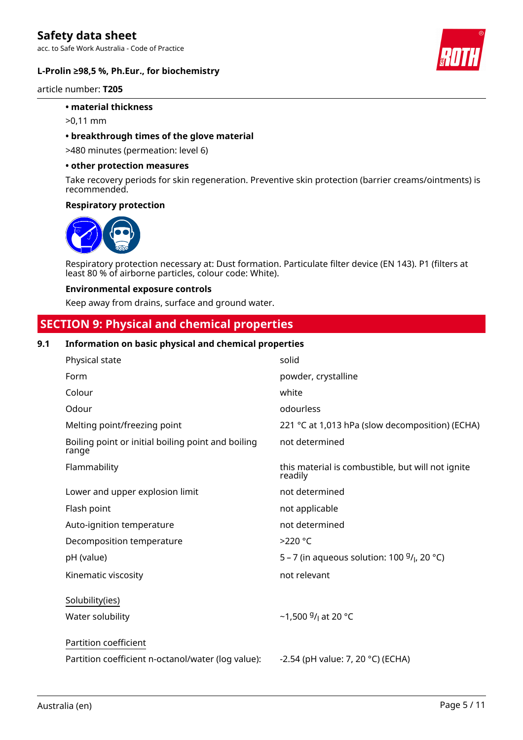acc. to Safe Work Australia - Code of Practice



#### **L-Prolin ≥98,5 %, Ph.Eur., for biochemistry**

article number: **T205**

#### **• material thickness**

>0,11 mm

#### **• breakthrough times of the glove material**

>480 minutes (permeation: level 6)

#### **• other protection measures**

Take recovery periods for skin regeneration. Preventive skin protection (barrier creams/ointments) is recommended.

#### **Respiratory protection**



Respiratory protection necessary at: Dust formation. Particulate filter device (EN 143). P1 (filters at least 80 % of airborne particles, colour code: White).

#### **Environmental exposure controls**

Keep away from drains, surface and ground water.

# **SECTION 9: Physical and chemical properties**

#### **9.1 Information on basic physical and chemical properties**

| Physical state                                              | solid                                                        |
|-------------------------------------------------------------|--------------------------------------------------------------|
| Form                                                        | powder, crystalline                                          |
| Colour                                                      | white                                                        |
| Odour                                                       | odourless                                                    |
| Melting point/freezing point                                | 221 °C at 1,013 hPa (slow decomposition) (ECHA)              |
| Boiling point or initial boiling point and boiling<br>range | not determined                                               |
| Flammability                                                | this material is combustible, but will not ignite<br>readily |
| Lower and upper explosion limit                             | not determined                                               |
| Flash point                                                 | not applicable                                               |
| Auto-ignition temperature                                   | not determined                                               |
| Decomposition temperature                                   | $>220$ °C                                                    |
| pH (value)                                                  | 5 – 7 (in aqueous solution: 100 $9/1$ , 20 °C)               |
| Kinematic viscosity                                         | not relevant                                                 |
| Solubility(ies)                                             |                                                              |
| Water solubility                                            | ~1,500 $9/$ at 20 °C                                         |
| Partition coefficient                                       |                                                              |
| Partition coefficient n-octanol/water (log value):          | -2.54 (pH value: 7, 20 °C) (ECHA)                            |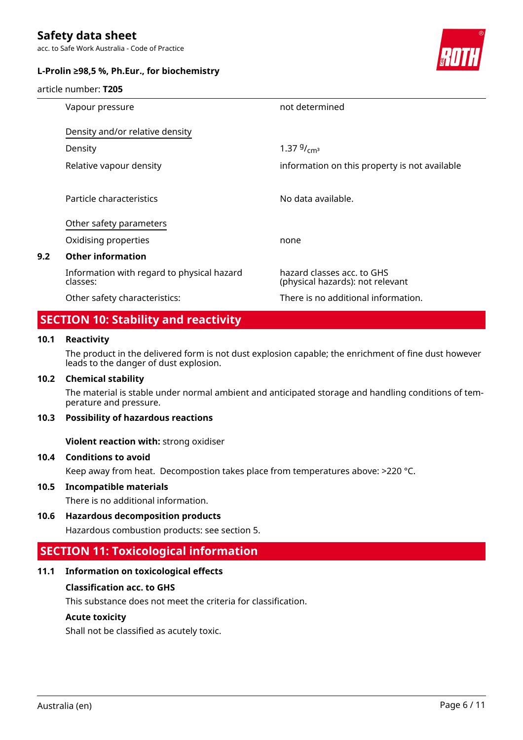acc. to Safe Work Australia - Code of Practice

#### **L-Prolin ≥98,5 %, Ph.Eur., for biochemistry**

article number: **T205**



|     | Vapour pressure                                        | not determined                                                 |
|-----|--------------------------------------------------------|----------------------------------------------------------------|
|     | Density and/or relative density                        |                                                                |
|     | Density                                                | 1.37 $9/cm^3$                                                  |
|     | Relative vapour density                                | information on this property is not available                  |
|     | Particle characteristics                               | No data available.                                             |
|     |                                                        |                                                                |
|     | Other safety parameters                                |                                                                |
|     | Oxidising properties                                   | none                                                           |
| 9.2 | <b>Other information</b>                               |                                                                |
|     | Information with regard to physical hazard<br>classes: | hazard classes acc. to GHS<br>(physical hazards): not relevant |
|     | Other safety characteristics:                          | There is no additional information.                            |

# **SECTION 10: Stability and reactivity**

#### **10.1 Reactivity**

The product in the delivered form is not dust explosion capable; the enrichment of fine dust however leads to the danger of dust explosion.

#### **10.2 Chemical stability**

The material is stable under normal ambient and anticipated storage and handling conditions of temperature and pressure.

#### **10.3 Possibility of hazardous reactions**

**Violent reaction with:** strong oxidiser

#### **10.4 Conditions to avoid**

Keep away from heat. Decompostion takes place from temperatures above: >220 °C.

#### **10.5 Incompatible materials**

There is no additional information.

#### **10.6 Hazardous decomposition products**

Hazardous combustion products: see section 5.

# **SECTION 11: Toxicological information**

#### **11.1 Information on toxicological effects**

#### **Classification acc. to GHS**

This substance does not meet the criteria for classification.

#### **Acute toxicity**

Shall not be classified as acutely toxic.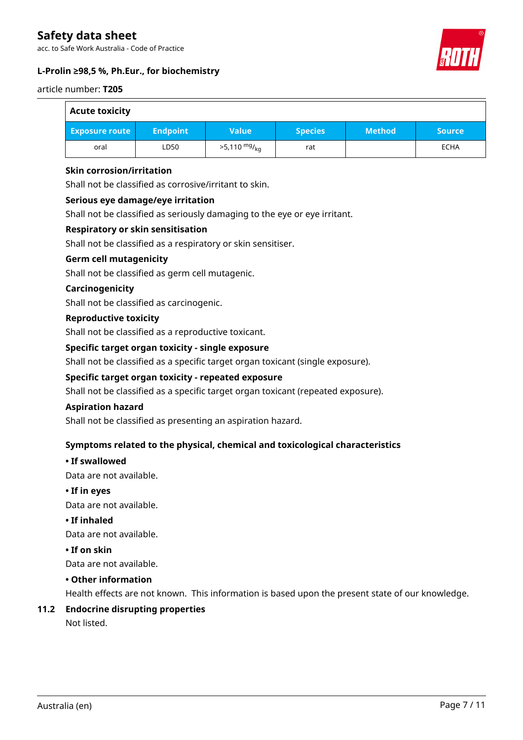acc. to Safe Work Australia - Code of Practice



### **L-Prolin ≥98,5 %, Ph.Eur., for biochemistry**

#### article number: **T205**

 $\overline{a}$ 

| <b>Acute toxicity</b> |                 |                        |                |               |               |
|-----------------------|-----------------|------------------------|----------------|---------------|---------------|
| <b>Exposure route</b> | <b>Endpoint</b> | <b>Value</b>           | <b>Species</b> | <b>Method</b> | <b>Source</b> |
| oral                  | LD50            | $>5,110 \frac{mg}{kg}$ | rat            |               | <b>ECHA</b>   |

#### **Skin corrosion/irritation**

Shall not be classified as corrosive/irritant to skin.

#### **Serious eye damage/eye irritation**

Shall not be classified as seriously damaging to the eye or eye irritant.

#### **Respiratory or skin sensitisation**

Shall not be classified as a respiratory or skin sensitiser.

#### **Germ cell mutagenicity**

Shall not be classified as germ cell mutagenic.

#### **Carcinogenicity**

Shall not be classified as carcinogenic.

#### **Reproductive toxicity**

Shall not be classified as a reproductive toxicant.

#### **Specific target organ toxicity - single exposure**

Shall not be classified as a specific target organ toxicant (single exposure).

#### **Specific target organ toxicity - repeated exposure**

Shall not be classified as a specific target organ toxicant (repeated exposure).

#### **Aspiration hazard**

Shall not be classified as presenting an aspiration hazard.

#### **Symptoms related to the physical, chemical and toxicological characteristics**

#### **• If swallowed**

Data are not available.

#### **• If in eyes**

Data are not available.

#### **• If inhaled**

Data are not available.

#### **• If on skin**

Data are not available.

#### **• Other information**

Health effects are not known. This information is based upon the present state of our knowledge.

# **11.2 Endocrine disrupting properties**

Not listed.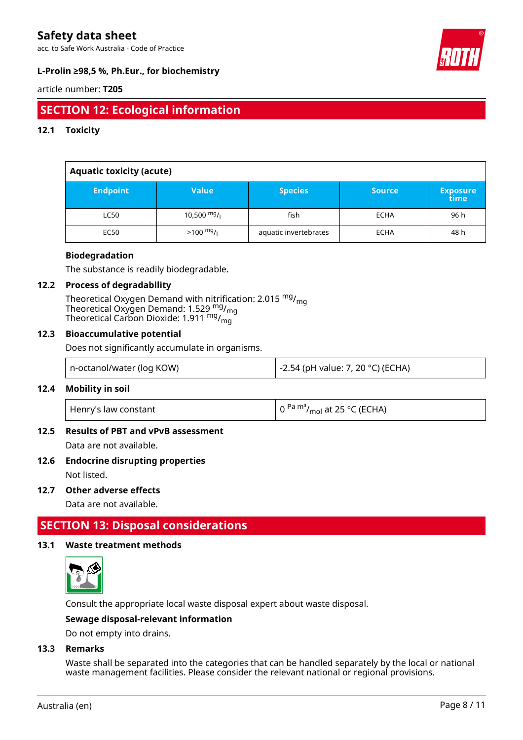acc. to Safe Work Australia - Code of Practice



### **L-Prolin ≥98,5 %, Ph.Eur., for biochemistry**

#### article number: **T205**

# **SECTION 12: Ecological information**

#### **12.1 Toxicity**

| <b>Aquatic toxicity (acute)</b> |                     |                       |               |                         |  |
|---------------------------------|---------------------|-----------------------|---------------|-------------------------|--|
| <b>Endpoint</b>                 | <b>Value</b>        | <b>Species</b>        | <b>Source</b> | <b>Exposure</b><br>time |  |
| <b>LC50</b>                     | 10,500 $mg/$        | fish                  | <b>ECHA</b>   | 96 h                    |  |
| <b>EC50</b>                     | $>100 \frac{mg}{l}$ | aquatic invertebrates | <b>ECHA</b>   | 48 h                    |  |

#### **Biodegradation**

The substance is readily biodegradable.

#### **12.2 Process of degradability**

Theoretical Oxygen Demand with nitrification: 2.015 <sup>mg</sup>/<sub>mg</sub> Theoretical Oxygen Demand: 1.529  $_{\text{mg}}^{\text{mg}}$ /<sub>mg</sub> Theoretical Carbon Dioxide: 1.911 <sup>mg</sup>/<sub>mg</sub>

#### **12.3 Bioaccumulative potential**

Does not significantly accumulate in organisms.

| -2.54 (pH value: 7, 20 °C) (ECHA)<br>  n-octanol/water (log KOW) |
|------------------------------------------------------------------|
|------------------------------------------------------------------|

#### **12.4 Mobility in soil**

| Henry's law constant | $\left(0^{Pa} \frac{m^3}{mol} \right)$ at 25 °C (ECHA) |
|----------------------|--------------------------------------------------------|
|----------------------|--------------------------------------------------------|

#### **12.5 Results of PBT and vPvB assessment**

Data are not available.

#### **12.6 Endocrine disrupting properties**

Not listed.

#### **12.7 Other adverse effects**

Data are not available.

# **SECTION 13: Disposal considerations**

#### **13.1 Waste treatment methods**



Consult the appropriate local waste disposal expert about waste disposal.

#### **Sewage disposal-relevant information**

Do not empty into drains.

#### **13.3 Remarks**

Waste shall be separated into the categories that can be handled separately by the local or national waste management facilities. Please consider the relevant national or regional provisions.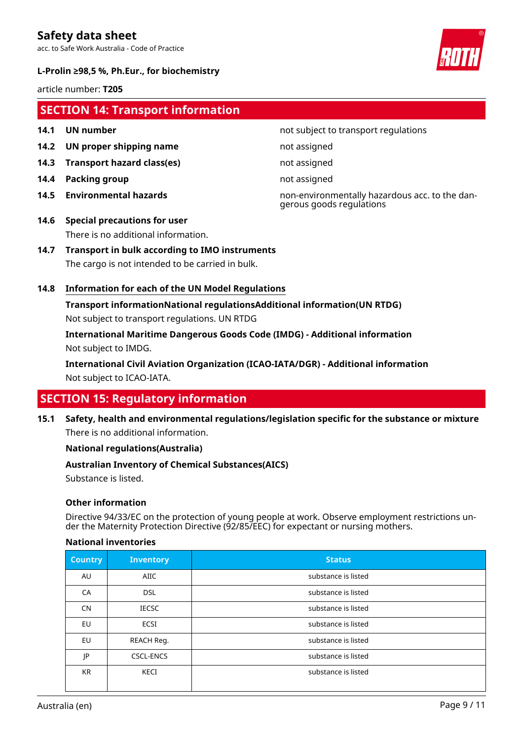acc. to Safe Work Australia - Code of Practice



#### **L-Prolin ≥98,5 %, Ph.Eur., for biochemistry**

article number: **T205**

# **SECTION 14: Transport information**

- 
- **14.2 UN proper shipping name** not assigned
- **14.3 Transport hazard class(es)** not assigned
- **14.4 Packing group not assigned**
- 
- **14.1 UN number 14.1 UN** number
	-
	-
	-

**14.5 Environmental hazards** non-environmentally hazardous acc. to the dangerous goods regulations

- **14.6 Special precautions for user** There is no additional information.
- **14.7 Transport in bulk according to IMO instruments** The cargo is not intended to be carried in bulk.

#### **14.8 Information for each of the UN Model Regulations**

**Transport informationNational regulationsAdditional information(UN RTDG)** Not subject to transport regulations. UN RTDG

**International Maritime Dangerous Goods Code (IMDG) - Additional information** Not subject to IMDG.

**International Civil Aviation Organization (ICAO-IATA/DGR) - Additional information** Not subject to ICAO-IATA.

# **SECTION 15: Regulatory information**

**15.1 Safety, health and environmental regulations/legislation specific for the substance or mixture** There is no additional information.

#### **National regulations(Australia)**

#### **Australian Inventory of Chemical Substances(AICS)**

Substance is listed.

#### **Other information**

Directive 94/33/EC on the protection of young people at work. Observe employment restrictions under the Maternity Protection Directive (92/85/EEC) for expectant or nursing mothers.

#### **National inventories**

| <b>Country</b> | <b>Inventory</b> | <b>Status</b>       |
|----------------|------------------|---------------------|
| AU             | AIIC             | substance is listed |
| CA             | <b>DSL</b>       | substance is listed |
| <b>CN</b>      | <b>IECSC</b>     | substance is listed |
| <b>EU</b>      | <b>ECSI</b>      | substance is listed |
| <b>EU</b>      | REACH Req.       | substance is listed |
| JP             | <b>CSCL-ENCS</b> | substance is listed |
| <b>KR</b>      | KECI             | substance is listed |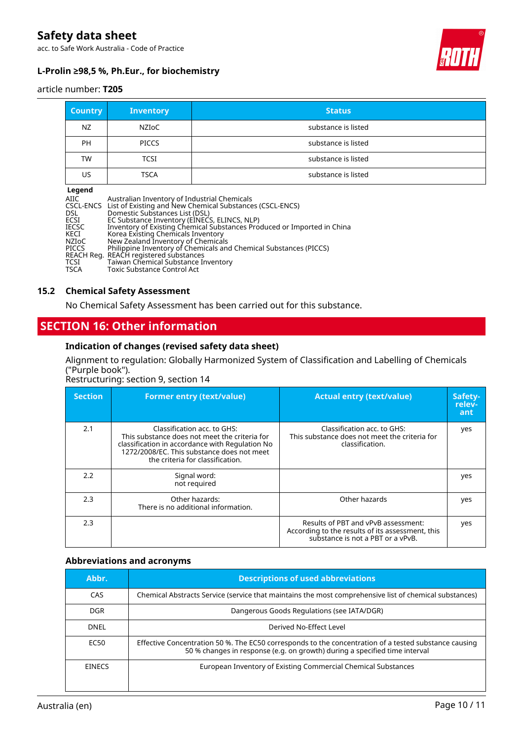acc. to Safe Work Australia - Code of Practice



### **L-Prolin ≥98,5 %, Ph.Eur., for biochemistry**

#### article number: **T205**

| <b>Country</b>                                                                                                                                                                                                                                                                                                                                                                                                                                                                                                        | Inventory    | <b>Status</b>       |
|-----------------------------------------------------------------------------------------------------------------------------------------------------------------------------------------------------------------------------------------------------------------------------------------------------------------------------------------------------------------------------------------------------------------------------------------------------------------------------------------------------------------------|--------------|---------------------|
| NZ.                                                                                                                                                                                                                                                                                                                                                                                                                                                                                                                   | <b>NZIOC</b> | substance is listed |
| <b>PH</b>                                                                                                                                                                                                                                                                                                                                                                                                                                                                                                             | <b>PICCS</b> | substance is listed |
| <b>TW</b>                                                                                                                                                                                                                                                                                                                                                                                                                                                                                                             | <b>TCSI</b>  | substance is listed |
| US                                                                                                                                                                                                                                                                                                                                                                                                                                                                                                                    | <b>TSCA</b>  | substance is listed |
| Legend<br>Australian Inventory of Industrial Chemicals<br>AIIC<br>List of Existing and New Chemical Substances (CSCL-ENCS)<br>CSCL-ENCS<br>Domestic Substances List (DSL)<br>DSL<br>ECSI<br>EC Substance Inventory (EINECS, ELINCS, NLP)<br>Inventory of Existing Chemical Substances Produced or Imported in China<br><b>IECSC</b><br>KECI<br>Korea Existing Chemicals Inventory<br>New Zealand Inventory of Chemicals<br>NZIoC<br>Philippine Inventory of Chemicals and Chemical Substances (PICCS)<br><b>PICCS</b> |              |                     |

### **15.2 Chemical Safety Assessment**

No Chemical Safety Assessment has been carried out for this substance.

# **SECTION 16: Other information**

REACH Reg. REACH registered substances TCSI Taiwan Chemical Substance Inventory

TSCA Toxic Substance Control Act

#### **Indication of changes (revised safety data sheet)**

#### Alignment to regulation: Globally Harmonized System of Classification and Labelling of Chemicals ("Purple book").

Restructuring: section 9, section 14

| <b>Section</b> | <b>Former entry (text/value)</b>                                                                                                                                                                                  | <b>Actual entry (text/value)</b>                                                                                             | Safety-<br>relev-<br>ant |
|----------------|-------------------------------------------------------------------------------------------------------------------------------------------------------------------------------------------------------------------|------------------------------------------------------------------------------------------------------------------------------|--------------------------|
| 2.1            | Classification acc. to GHS:<br>This substance does not meet the criteria for<br>classification in accordance with Regulation No<br>1272/2008/EC. This substance does not meet<br>the criteria for classification. | Classification acc. to GHS:<br>This substance does not meet the criteria for<br>classification.                              | yes                      |
| 2.2            | Signal word:<br>not required                                                                                                                                                                                      |                                                                                                                              | yes                      |
| 2.3            | Other hazards:<br>There is no additional information.                                                                                                                                                             | Other hazards                                                                                                                | yes                      |
| 2.3            |                                                                                                                                                                                                                   | Results of PBT and vPvB assessment:<br>According to the results of its assessment, this<br>substance is not a PBT or a vPvB. | yes                      |

#### **Abbreviations and acronyms**

| Abbr.         | <b>Descriptions of used abbreviations</b>                                                                                                                                           |
|---------------|-------------------------------------------------------------------------------------------------------------------------------------------------------------------------------------|
| CAS           | Chemical Abstracts Service (service that maintains the most comprehensive list of chemical substances)                                                                              |
| DGR.          | Dangerous Goods Regulations (see IATA/DGR)                                                                                                                                          |
| DNEL          | Derived No-Effect Level                                                                                                                                                             |
| EC50          | Effective Concentration 50 %. The EC50 corresponds to the concentration of a tested substance causing<br>50 % changes in response (e.g. on growth) during a specified time interval |
| <b>EINECS</b> | European Inventory of Existing Commercial Chemical Substances                                                                                                                       |